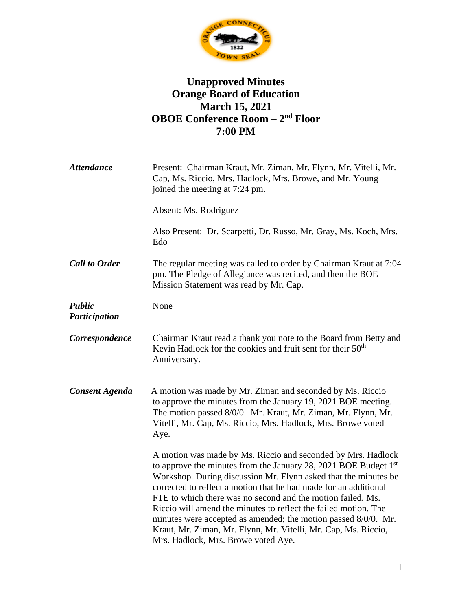

## **Unapproved Minutes Orange Board of Education March 15, 2021 OBOE Conference Room – 2 nd Floor 7:00 PM**

| <b>Attendance</b>       | Present: Chairman Kraut, Mr. Ziman, Mr. Flynn, Mr. Vitelli, Mr.<br>Cap, Ms. Riccio, Mrs. Hadlock, Mrs. Browe, and Mr. Young<br>joined the meeting at 7:24 pm.                                                                                                                                                                                                                                                                                                                                                                                                                                   |
|-------------------------|-------------------------------------------------------------------------------------------------------------------------------------------------------------------------------------------------------------------------------------------------------------------------------------------------------------------------------------------------------------------------------------------------------------------------------------------------------------------------------------------------------------------------------------------------------------------------------------------------|
|                         | Absent: Ms. Rodriguez                                                                                                                                                                                                                                                                                                                                                                                                                                                                                                                                                                           |
|                         | Also Present: Dr. Scarpetti, Dr. Russo, Mr. Gray, Ms. Koch, Mrs.<br>Edo                                                                                                                                                                                                                                                                                                                                                                                                                                                                                                                         |
| <b>Call to Order</b>    | The regular meeting was called to order by Chairman Kraut at 7:04<br>pm. The Pledge of Allegiance was recited, and then the BOE<br>Mission Statement was read by Mr. Cap.                                                                                                                                                                                                                                                                                                                                                                                                                       |
| Public<br>Participation | None                                                                                                                                                                                                                                                                                                                                                                                                                                                                                                                                                                                            |
| Correspondence          | Chairman Kraut read a thank you note to the Board from Betty and<br>Kevin Hadlock for the cookies and fruit sent for their 50 <sup>th</sup><br>Anniversary.                                                                                                                                                                                                                                                                                                                                                                                                                                     |
| <b>Consent Agenda</b>   | A motion was made by Mr. Ziman and seconded by Ms. Riccio<br>to approve the minutes from the January 19, 2021 BOE meeting.<br>The motion passed 8/0/0. Mr. Kraut, Mr. Ziman, Mr. Flynn, Mr.<br>Vitelli, Mr. Cap, Ms. Riccio, Mrs. Hadlock, Mrs. Browe voted<br>Aye.                                                                                                                                                                                                                                                                                                                             |
|                         | A motion was made by Ms. Riccio and seconded by Mrs. Hadlock<br>to approve the minutes from the January 28, 2021 BOE Budget 1 <sup>st</sup><br>Workshop. During discussion Mr. Flynn asked that the minutes be<br>corrected to reflect a motion that he had made for an additional<br>FTE to which there was no second and the motion failed. Ms.<br>Riccio will amend the minutes to reflect the failed motion. The<br>minutes were accepted as amended; the motion passed 8/0/0. Mr.<br>Kraut, Mr. Ziman, Mr. Flynn, Mr. Vitelli, Mr. Cap, Ms. Riccio,<br>Mrs. Hadlock, Mrs. Browe voted Aye. |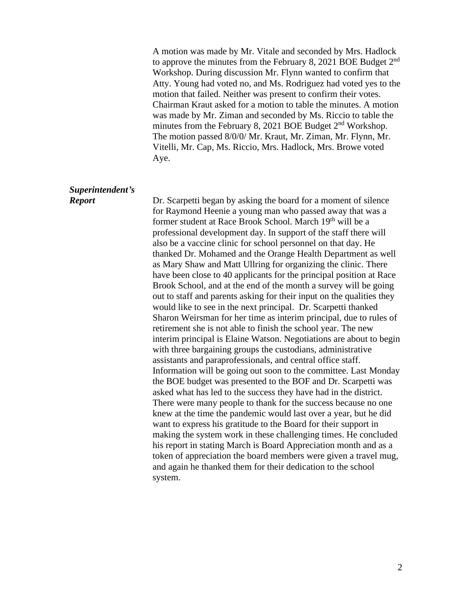A motion was made by Mr. Vitale and seconded by Mrs. Hadlock to approve the minutes from the February 8, 2021 BOE Budget  $2<sup>nd</sup>$ Workshop. During discussion Mr. Flynn wanted to confirm that Atty. Young had voted no, and Ms. Rodriguez had voted yes to the motion that failed. Neither was present to confirm their votes. Chairman Kraut asked for a motion to table the minutes. A motion was made by Mr. Ziman and seconded by Ms. Riccio to table the minutes from the February 8, 2021 BOE Budget 2<sup>nd</sup> Workshop. The motion passed 8/0/0/ Mr. Kraut, Mr. Ziman, Mr. Flynn, Mr. Vitelli, Mr. Cap, Ms. Riccio, Mrs. Hadlock, Mrs. Browe voted Aye.

## *Superintendent's*

*Report* Dr. Scarpetti began by asking the board for a moment of silence for Raymond Heenie a young man who passed away that was a former student at Race Brook School. March 19<sup>th</sup> will be a professional development day. In support of the staff there will also be a vaccine clinic for school personnel on that day. He thanked Dr. Mohamed and the Orange Health Department as well as Mary Shaw and Matt Ullring for organizing the clinic. There have been close to 40 applicants for the principal position at Race Brook School, and at the end of the month a survey will be going out to staff and parents asking for their input on the qualities they would like to see in the next principal. Dr. Scarpetti thanked Sharon Weirsman for her time as interim principal, due to rules of retirement she is not able to finish the school year. The new interim principal is Elaine Watson. Negotiations are about to begin with three bargaining groups the custodians, administrative assistants and paraprofessionals, and central office staff. Information will be going out soon to the committee. Last Monday the BOE budget was presented to the BOF and Dr. Scarpetti was asked what has led to the success they have had in the district. There were many people to thank for the success because no one knew at the time the pandemic would last over a year, but he did want to express his gratitude to the Board for their support in making the system work in these challenging times. He concluded his report in stating March is Board Appreciation month and as a token of appreciation the board members were given a travel mug, and again he thanked them for their dedication to the school system.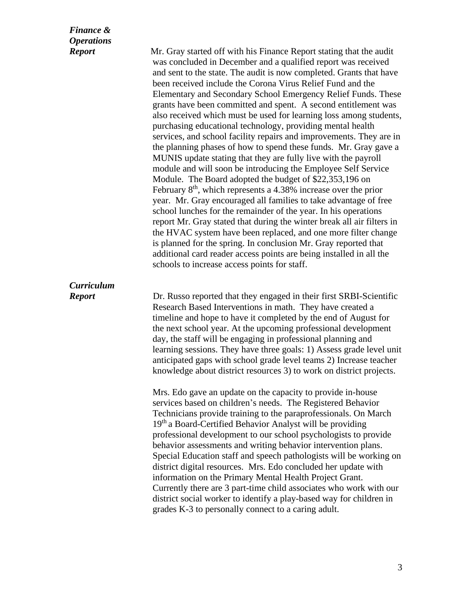| <b>Finance &amp;</b><br><b>Operations</b> |                                                                                                                                                                                                                                                                                                                                                                                                                                                                                                                                                                                                                                                                                                                                                                                                                                                                                                                                                                                                                                                                                                                                                                                                                                                                                                                                                                                                                                             |
|-------------------------------------------|---------------------------------------------------------------------------------------------------------------------------------------------------------------------------------------------------------------------------------------------------------------------------------------------------------------------------------------------------------------------------------------------------------------------------------------------------------------------------------------------------------------------------------------------------------------------------------------------------------------------------------------------------------------------------------------------------------------------------------------------------------------------------------------------------------------------------------------------------------------------------------------------------------------------------------------------------------------------------------------------------------------------------------------------------------------------------------------------------------------------------------------------------------------------------------------------------------------------------------------------------------------------------------------------------------------------------------------------------------------------------------------------------------------------------------------------|
| <b>Report</b>                             | Mr. Gray started off with his Finance Report stating that the audit<br>was concluded in December and a qualified report was received<br>and sent to the state. The audit is now completed. Grants that have<br>been received include the Corona Virus Relief Fund and the<br>Elementary and Secondary School Emergency Relief Funds. These<br>grants have been committed and spent. A second entitlement was<br>also received which must be used for learning loss among students,<br>purchasing educational technology, providing mental health<br>services, and school facility repairs and improvements. They are in<br>the planning phases of how to spend these funds. Mr. Gray gave a<br>MUNIS update stating that they are fully live with the payroll<br>module and will soon be introducing the Employee Self Service<br>Module. The Board adopted the budget of \$22,353,196 on<br>February $8th$ , which represents a 4.38% increase over the prior<br>year. Mr. Gray encouraged all families to take advantage of free<br>school lunches for the remainder of the year. In his operations<br>report Mr. Gray stated that during the winter break all air filters in<br>the HVAC system have been replaced, and one more filter change<br>is planned for the spring. In conclusion Mr. Gray reported that<br>additional card reader access points are being installed in all the<br>schools to increase access points for staff. |
| <b>Curriculum</b><br><b>Report</b>        | Dr. Russo reported that they engaged in their first SRBI-Scientific<br>Research Based Interventions in math. They have created a<br>timeline and hope to have it completed by the end of August for<br>the next school year. At the upcoming professional development<br>day, the staff will be engaging in professional planning and<br>learning sessions. They have three goals: 1) Assess grade level unit<br>anticipated gaps with school grade level teams 2) Increase teacher<br>knowledge about district resources 3) to work on district projects.<br>Mrs. Edo gave an update on the capacity to provide in-house<br>services based on children's needs. The Registered Behavior<br>Technicians provide training to the paraprofessionals. On March<br>19th a Board-Certified Behavior Analyst will be providing<br>professional development to our school psychologists to provide<br>behavior assessments and writing behavior intervention plans.<br>Special Education staff and speech pathologists will be working on<br>district digital resources. Mrs. Edo concluded her update with<br>information on the Primary Mental Health Project Grant.<br>Currently there are 3 part-time child associates who work with our<br>district social worker to identify a play-based way for children in<br>grades K-3 to personally connect to a caring adult.                                                                         |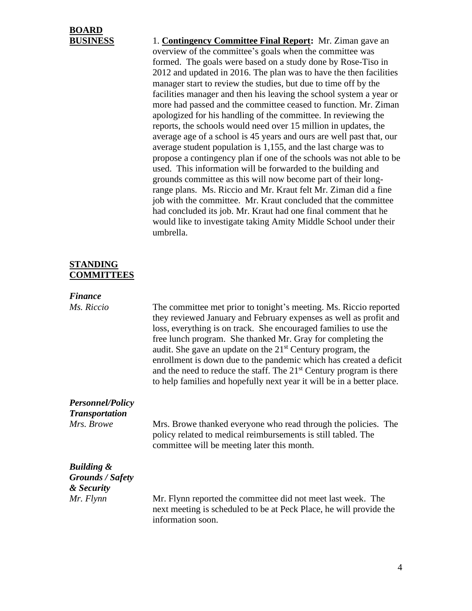# **BOARD**

**BUSINESS** 1. **Contingency Committee Final Report:** Mr. Ziman gave an overview of the committee's goals when the committee was formed. The goals were based on a study done by Rose-Tiso in 2012 and updated in 2016. The plan was to have the then facilities manager start to review the studies, but due to time off by the facilities manager and then his leaving the school system a year or more had passed and the committee ceased to function. Mr. Ziman apologized for his handling of the committee. In reviewing the reports, the schools would need over 15 million in updates, the average age of a school is 45 years and ours are well past that, our average student population is 1,155, and the last charge was to propose a contingency plan if one of the schools was not able to be used. This information will be forwarded to the building and grounds committee as this will now become part of their longrange plans. Ms. Riccio and Mr. Kraut felt Mr. Ziman did a fine job with the committee. Mr. Kraut concluded that the committee had concluded its job. Mr. Kraut had one final comment that he would like to investigate taking Amity Middle School under their umbrella.

#### **STANDING COMMITTEES**

#### *Finance*

*Ms. Riccio* The committee met prior to tonight's meeting. Ms. Riccio reported they reviewed January and February expenses as well as profit and loss, everything is on track. She encouraged families to use the free lunch program. She thanked Mr. Gray for completing the audit. She gave an update on the  $21<sup>st</sup>$  Century program, the enrollment is down due to the pandemic which has created a deficit and the need to reduce the staff. The  $21<sup>st</sup>$  Century program is there to help families and hopefully next year it will be in a better place.

### *Personnel/Policy*

*Transportation*

*Mrs. Browe* Mrs. Browe thanked everyone who read through the policies. The policy related to medical reimbursements is still tabled. The committee will be meeting later this month.

## *Building & Grounds / Safety & Security*

*Mr. Flynn* Mr. Flynn reported the committee did not meet last week. The next meeting is scheduled to be at Peck Place, he will provide the information soon.